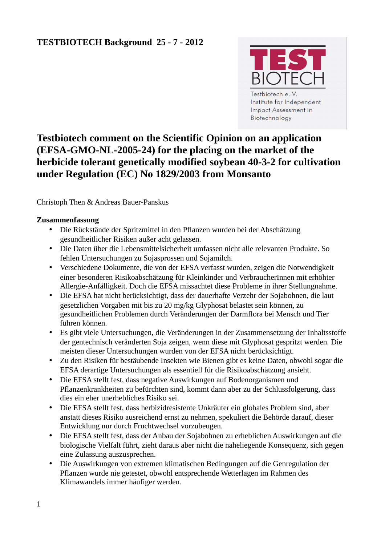

Institute for Independent **Impact Assessment in** Biotechnology

# **Testbiotech comment on the Scientific Opinion on an application (EFSA-GMO-NL-2005-24) for the placing on the market of the herbicide tolerant genetically modified soybean 40-3-2 for cultivation under Regulation (EC) No 1829/2003 from Monsanto**

# Christoph Then & Andreas Bauer-Panskus

# **Zusammenfassung**

- Die Rückstände der Spritzmittel in den Pflanzen wurden bei der Abschätzung gesundheitlicher Risiken außer acht gelassen.
- Die Daten über die Lebensmittelsicherheit umfassen nicht alle relevanten Produkte. So fehlen Untersuchungen zu Sojasprossen und Sojamilch.
- Verschiedene Dokumente, die von der EFSA verfasst wurden, zeigen die Notwendigkeit einer besonderen Risikoabschätzung für Kleinkinder und VerbraucherInnen mit erhöhter Allergie-Anfälligkeit. Doch die EFSA missachtet diese Probleme in ihrer Stellungnahme.
- Die EFSA hat nicht berücksichtigt, dass der dauerhafte Verzehr der Sojabohnen, die laut gesetzlichen Vorgaben mit bis zu 20 mg/kg Glyphosat belastet sein können, zu gesundheitlichen Problemen durch Veränderungen der Darmflora bei Mensch und Tier führen können.
- Es gibt viele Untersuchungen, die Veränderungen in der Zusammensetzung der Inhaltsstoffe der gentechnisch veränderten Soja zeigen, wenn diese mit Glyphosat gespritzt werden. Die meisten dieser Untersuchungen wurden von der EFSA nicht berücksichtigt.
- Zu den Risiken für bestäubende Insekten wie Bienen gibt es keine Daten, obwohl sogar die EFSA derartige Untersuchungen als essentiell für die Risikoabschätzung ansieht.
- Die EFSA stellt fest, dass negative Auswirkungen auf Bodenorganismen und Pflanzenkrankheiten zu befürchten sind, kommt dann aber zu der Schlussfolgerung, dass dies ein eher unerhebliches Risiko sei.
- Die EFSA stellt fest, dass herbizidresistente Unkräuter ein globales Problem sind, aber anstatt dieses Risiko ausreichend ernst zu nehmen, spekuliert die Behörde darauf, dieser Entwicklung nur durch Fruchtwechsel vorzubeugen.
- Die EFSA stellt fest, dass der Anbau der Sojabohnen zu erheblichen Auswirkungen auf die biologische Vielfalt führt, zieht daraus aber nicht die naheliegende Konsequenz, sich gegen eine Zulassung auszusprechen.
- Die Auswirkungen von extremen klimatischen Bedingungen auf die Genregulation der Pflanzen wurde nie getestet, obwohl entsprechende Wetterlagen im Rahmen des Klimawandels immer häufiger werden.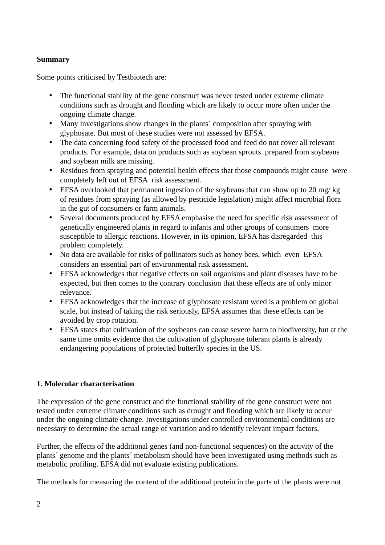# **Summary**

Some points criticised by Testbiotech are:

- The functional stability of the gene construct was never tested under extreme climate conditions such as drought and flooding which are likely to occur more often under the ongoing climate change.
- Many investigations show changes in the plants' composition after spraying with glyphosate. But most of these studies were not assessed by EFSA.
- The data concerning food safety of the processed food and feed do not cover all relevant products. For example, data on products such as soybean sprouts prepared from soybeans and soybean milk are missing.
- Residues from spraying and potential health effects that those compounds might cause were completely left out of EFSA risk assessment.
- EFSA overlooked that permanent ingestion of the soybeans that can show up to 20 mg/kg of residues from spraying (as allowed by pesticide legislation) might affect microbial flora in the gut of consumers or farm animals.
- Several documents produced by EFSA emphasise the need for specific risk assessment of genetically engineered plants in regard to infants and other groups of consumers more susceptible to allergic reactions. However, in its opinion, EFSA has disregarded this problem completely.
- No data are available for risks of pollinators such as honey bees, which even EFSA considers an essential part of environmental risk assessment.
- EFSA acknowledges that negative effects on soil organisms and plant diseases have to be expected, but then comes to the contrary conclusion that these effects are of only minor relevance.
- EFSA acknowledges that the increase of glyphosate resistant weed is a problem on global scale, but instead of taking the risk seriously, EFSA assumes that these effects can be avoided by crop rotation.
- EFSA states that cultivation of the soybeans can cause severe harm to biodiversity, but at the same time omits evidence that the cultivation of glyphosate tolerant plants is already endangering populations of protected butterfly species in the US.

# **1. Molecular characterisation**

The expression of the gene construct and the functional stability of the gene construct were not tested under extreme climate conditions such as drought and flooding which are likely to occur under the ongoing climate change. Investigations under controlled environmental conditions are necessary to determine the actual range of variation and to identify relevant impact factors.

Further, the effects of the additional genes (and non-functional sequences) on the activity of the plants´ genome and the plants´ metabolism should have been investigated using methods such as metabolic profiling. EFSA did not evaluate existing publications.

The methods for measuring the content of the additional protein in the parts of the plants were not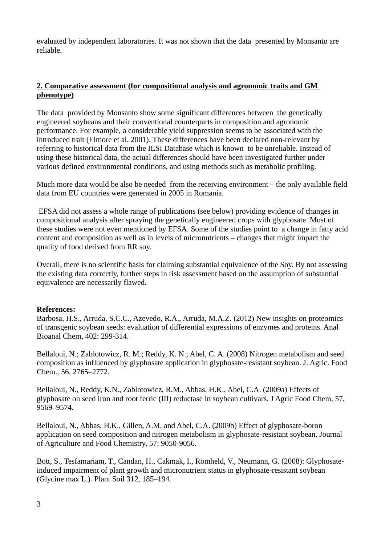evaluated by independent laboratories. It was not shown that the data presented by Monsanto are reliable.

## **2. Comparative assessment (for compositional analysis and agronomic traits and GM phenotype)**

The data provided by Monsanto show some significant differences between the genetically engineered soybeans and their conventional counterparts in composition and agronomic performance. For example, a considerable yield suppression seems to be associated with the introduced trait (Elmore et al. 2001). These differences have been declared non-relevant by referring to historical data from the ILSI Database which is known to be unreliable. Instead of using these historical data, the actual differences should have been investigated further under various defined environmental conditions, and using methods such as metabolic profiling.

Much more data would be also be needed from the receiving environment – the only available field data from EU countries were generated in 2005 in Romania.

EFSA did not assess a whole range of publications (see below) providing evidence of changes in compositional analysis after spraying the genetically engineered crops with glyphosate. Most of these studies were not even mentioned by EFSA. Some of the studies point to a change in fatty acid content and composition as well as in levels of micronutrients – changes that might impact the quality of food derived from RR soy.

Overall, there is no scientific basis for claiming substantial equivalence of the Soy. By not assessing the existing data correctly, further steps in risk assessment based on the assumption of substantial equivalence are necessarily flawed.

#### **References:**

Barbosa, H.S., Arruda, S.C.C., Azevedo, R.A., Arruda, M.A.Z. (2012) New insights on proteomics of transgenic soybean seeds: evaluation of differential expressions of enzymes and proteins. Anal Bioanal Chem, 402: 299-314.

Bellaloui, N.; Zablotowicz, R. M.; Reddy, K. N.; Abel, C. A. (2008) Nitrogen metabolism and seed composition as influenced by glyphosate application in glyphosate-resistant soybean. J. Agric. Food Chem., 56, 2765–2772.

Bellaloui, N., Reddy, K.N., Zablotowicz, R.M., Abbas, H.K., Abel, C.A. (2009a) Effects of glyphosate on seed iron and root ferric (III) reductase in soybean cultivars. J Agric Food Chem, 57, 9569–9574.

Bellaloui, N., Abbas, H.K., Gillen, A.M. and Abel, C.A. (2009b) Effect of glyphosate-boron application on seed composition and nitrogen metabolism in glyphosate-resistant soybean. Journal of Agriculture and Food Chemistry, 57: 9050-9056.

Bott, S., Tesfamariam, T., Candan, H., Cakmak, I., Römheld, V., Neumann, G. (2008): Glyphosateinduced impairment of plant growth and micronutrient status in glyphosate-resistant soybean (Glycine max L.). Plant Soil 312, 185–194.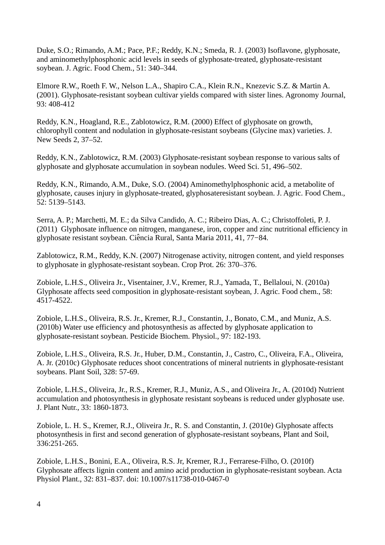Duke, S.O.; Rimando, A.M.; Pace, P.F.; Reddy, K.N.; Smeda, R. J. (2003) Isoflavone, glyphosate, and aminomethylphosphonic acid levels in seeds of glyphosate-treated, glyphosate-resistant soybean. J. Agric. Food Chem., 51: 340–344.

Elmore R.W., Roeth F. W., Nelson L.A., Shapiro C.A., Klein R.N., Knezevic S.Z. & Martin A. (2001). Glyphosate-resistant soybean cultivar yields compared with sister lines. Agronomy Journal, 93: 408-412

Reddy, K.N., Hoagland, R.E., Zablotowicz, R.M. (2000) Effect of glyphosate on growth, chlorophyll content and nodulation in glyphosate-resistant soybeans (Glycine max) varieties. J. New Seeds 2, 37–52.

Reddy, K.N., Zablotowicz, R.M. (2003) Glyphosate-resistant soybean response to various salts of glyphosate and glyphosate accumulation in soybean nodules. Weed Sci. 51, 496–502.

Reddy, K.N., Rimando, A.M., Duke, S.O. (2004) Aminomethylphosphonic acid, a metabolite of glyphosate, causes injury in glyphosate-treated, glyphosateresistant soybean. J. Agric. Food Chem., 52: 5139–5143.

Serra, A. P.; Marchetti, M. E.; da Silva Candido, A. C.; Ribeiro Dias, A. C.; Christoffoleti, P. J. (2011) Glyphosate influence on nitrogen, manganese, iron, copper and zinc nutritional efficiency in glyphosate resistant soybean. Ciencia Rural, Santa Maria 2011, 41, 77−84. ̂

Zablotowicz, R.M., Reddy, K.N. (2007) Nitrogenase activity, nitrogen content, and yield responses to glyphosate in glyphosate-resistant soybean. Crop Prot. 26: 370–376.

Zobiole, L.H.S., Oliveira Jr., Visentainer, J.V., Kremer, R.J., Yamada, T., Bellaloui, N. (2010a) Glyphosate affects seed composition in glyphosate-resistant soybean, J. Agric. Food chem., 58: 4517-4522.

Zobiole, L.H.S., Oliveira, R.S. Jr., Kremer, R.J., Constantin, J., Bonato, C.M., and Muniz, A.S. (2010b) Water use efficiency and photosynthesis as affected by glyphosate application to glyphosate-resistant soybean. Pesticide Biochem. Physiol., 97: 182-193.

Zobiole, L.H.S., Oliveira, R.S. Jr., Huber, D.M., Constantin, J., Castro, C., Oliveira, F.A., Oliveira, A. Jr. (2010c) Glyphosate reduces shoot concentrations of mineral nutrients in glyphosate-resistant soybeans. Plant Soil, 328: 57-69.

Zobiole, L.H.S., Oliveira, Jr., R.S., Kremer, R.J., Muniz, A.S., and Oliveira Jr., A. (2010d) Nutrient accumulation and photosynthesis in glyphosate resistant soybeans is reduced under glyphosate use. J. Plant Nutr., 33: 1860-1873.

Zobiole, L. H. S., Kremer, R.J., Oliveira Jr., R. S. and Constantin, J. (2010e) Glyphosate affects photosynthesis in first and second generation of glyphosate-resistant soybeans, Plant and Soil, 336:251-265.

Zobiole, L.H.S., Bonini, E.A., Oliveira, R.S. Jr, Kremer, R.J., Ferrarese-Filho, O. (2010f) Glyphosate affects lignin content and amino acid production in glyphosate-resistant soybean. Acta Physiol Plant., 32: 831–837. doi: 10.1007/s11738-010-0467-0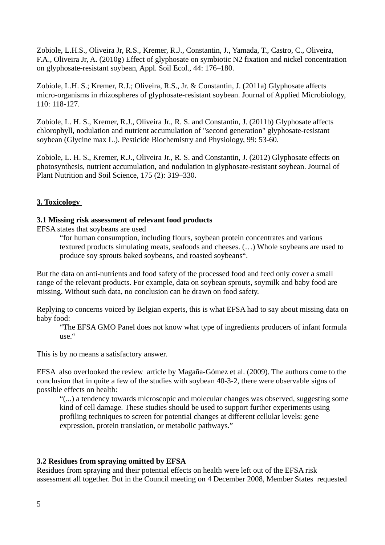Zobiole, L.H.S., Oliveira Jr, R.S., Kremer, R.J., Constantin, J., Yamada, T., Castro, C., Oliveira, F.A., Oliveira Jr, A. (2010g) Effect of glyphosate on symbiotic N2 fixation and nickel concentration on glyphosate-resistant soybean, Appl. Soil Ecol., 44: 176–180.

Zobiole, L.H. S.; Kremer, R.J.; Oliveira, R.S., Jr. & Constantin, J. (2011a) Glyphosate affects micro-organisms in rhizospheres of glyphosate-resistant soybean. Journal of Applied Microbiology, 110: 118-127.

Zobiole, L. H. S., Kremer, R.J., Oliveira Jr., R. S. and Constantin, J. (2011b) Glyphosate affects chlorophyll, nodulation and nutrient accumulation of "second generation" glyphosate-resistant soybean (Glycine max L.). Pesticide Biochemistry and Physiology, 99: 53-60.

Zobiole, L. H. S., Kremer, R.J., Oliveira Jr., R. S. and Constantin, J. (2012) Glyphosate effects on photosynthesis, nutrient accumulation, and nodulation in glyphosate-resistant soybean. Journal of Plant Nutrition and Soil Science, 175 (2): 319–330.

# **3. Toxicology**

#### **3.1 Missing risk assessment of relevant food products**

EFSA states that soybeans are used

"for human consumption, including flours, soybean protein concentrates and various textured products simulating meats, seafoods and cheeses. (…) Whole soybeans are used to produce soy sprouts baked soybeans, and roasted soybeans".

But the data on anti-nutrients and food safety of the processed food and feed only cover a small range of the relevant products. For example, data on soybean sprouts, soymilk and baby food are missing. Without such data, no conclusion can be drawn on food safety.

Replying to concerns voiced by Belgian experts, this is what EFSA had to say about missing data on baby food:

"The EFSA GMO Panel does not know what type of ingredients producers of infant formula use."

This is by no means a satisfactory answer.

EFSA also overlooked the review article by Magaña-Gómez et al. (2009). The authors come to the conclusion that in quite a few of the studies with soybean 40-3-2, there were observable signs of possible effects on health:

"(...) a tendency towards microscopic and molecular changes was observed, suggesting some kind of cell damage. These studies should be used to support further experiments using profiling techniques to screen for potential changes at different cellular levels: gene expression, protein translation, or metabolic pathways."

## **3.2 Residues from spraying omitted by EFSA**

Residues from spraying and their potential effects on health were left out of the EFSA risk assessment all together. But in the Council meeting on 4 December 2008, Member States requested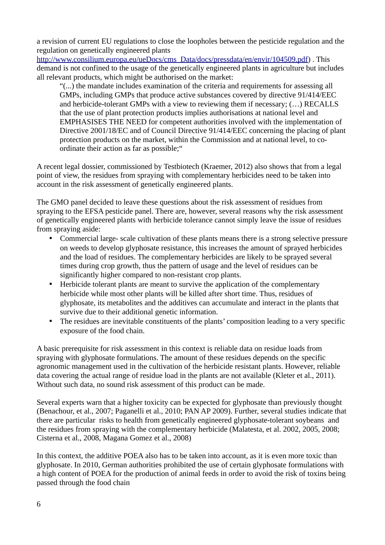a revision of current EU regulations to close the loopholes between the pesticide regulation and the regulation on genetically engineered plants

[http://www.consilium.europa.eu/ueDocs/cms\\_Data/docs/pressdata/en/envir/104509.pdf\)](http://www.consilium.europa.eu/ueDocs/cms_Data/docs/pressdata/en/envir/104509.pdf). This demand is not confined to the usage of the genetically engineered plants in agriculture but includes all relevant products, which might be authorised on the market:

"(...) the mandate includes examination of the criteria and requirements for assessing all GMPs, including GMPs that produce active substances covered by directive 91/414/EEC and herbicide-tolerant GMPs with a view to reviewing them if necessary; (…) RECALLS that the use of plant protection products implies authorisations at national level and EMPHASISES THE NEED for competent authorities involved with the implementation of Directive 2001/18/EC and of Council Directive 91/414/EEC concerning the placing of plant protection products on the market, within the Commission and at national level, to coordinate their action as far as possible;"

A recent legal dossier, commissioned by Testbiotech (Kraemer, 2012) also shows that from a legal point of view, the residues from spraying with complementary herbicides need to be taken into account in the risk assessment of genetically engineered plants.

The GMO panel decided to leave these questions about the risk assessment of residues from spraying to the EFSA pesticide panel. There are, however, several reasons why the risk assessment of genetically engineered plants with herbicide tolerance cannot simply leave the issue of residues from spraying aside:

- Commercial large- scale cultivation of these plants means there is a strong selective pressure on weeds to develop glyphosate resistance, this increases the amount of sprayed herbicides and the load of residues. The complementary herbicides are likely to be sprayed several times during crop growth, thus the pattern of usage and the level of residues can be significantly higher compared to non-resistant crop plants.
- Herbicide tolerant plants are meant to survive the application of the complementary herbicide while most other plants will be killed after short time. Thus, residues of glyphosate, its metabolites and the additives can accumulate and interact in the plants that survive due to their additional genetic information.
- The residues are inevitable constituents of the plants' composition leading to a very specific exposure of the food chain.

A basic prerequisite for risk assessment in this context is reliable data on residue loads from spraying with glyphosate formulations. The amount of these residues depends on the specific agronomic management used in the cultivation of the herbicide resistant plants. However, reliable data covering the actual range of residue load in the plants are not available (Kleter et al., 2011). Without such data, no sound risk assessment of this product can be made.

Several experts warn that a higher toxicity can be expected for glyphosate than previously thought (Benachour, et al., 2007; Paganelli et al., 2010; PAN AP 2009). Further, several studies indicate that there are particular risks to health from genetically engineered glyphosate-tolerant soybeans and the residues from spraying with the complementary herbicide (Malatesta, et al. 2002, 2005, 2008; Cisterna et al., 2008, Magana Gomez et al., 2008)

In this context, the additive POEA also has to be taken into account, as it is even more toxic than glyphosate. In 2010, German authorities prohibited the use of certain glyphosate formulations with a high content of POEA for the production of animal feeds in order to avoid the risk of toxins being passed through the food chain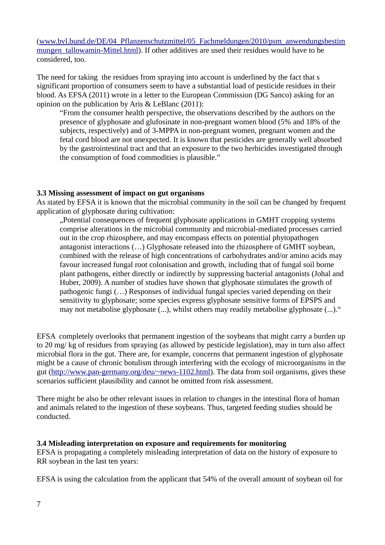[\(www.bvl.bund.de/DE/04\\_Pflanzenschutzmittel/05\\_Fachmeldungen/2010/psm\\_anwendungsbestim](http://www.bvl.bund.de/DE/04_Pflanzenschutzmittel/05_Fachmeldungen/2010/psm_anwendungsbestimmungen_tallowamin-Mittel.html) mungen tallowamin-Mittel.html). If other additives are used their residues would have to be considered, too.

The need for taking the residues from spraying into account is underlined by the fact that s significant proportion of consumers seem to have a substantial load of pesticide residues in their blood. As EFSA (2011) wrote in a letter to the European Commission (DG Sanco) asking for an opinion on the publication by Aris & LeBlanc (2011):

"From the consumer health perspective, the observations described by the authors on the presence of glyphosate and glufosinate in non-pregnant women blood (5% and 18% of the subjects, respectively) and of 3-MPPA in non-pregnant women, pregnant women and the fetal cord blood are not unexpected. It is known that pesticides are generally well absorbed by the gastrointestinal tract and that an exposure to the two herbicides investigated through the consumption of food commodities is plausible."

#### **3.3 Missing assessment of impact on gut organisms**

As stated by EFSA it is known that the microbial community in the soil can be changed by frequent application of glyphosate during cultivation:

"Potential consequences of frequent glyphosate applications in GMHT cropping systems comprise alterations in the microbial community and microbial-mediated processes carried out in the crop rhizosphere, and may encompass effects on potential phytopathogen antagonist interactions (…) Glyphosate released into the rhizosphere of GMHT soybean, combined with the release of high concentrations of carbohydrates and/or amino acids may favour increased fungal root colonisation and growth, including that of fungal soil borne plant pathogens, either directly or indirectly by suppressing bacterial antagonists (Johal and Huber, 2009). A number of studies have shown that glyphosate stimulates the growth of pathogenic fungi (…) Responses of individual fungal species varied depending on their sensitivity to glyphosate; some species express glyphosate sensitive forms of EPSPS and may not metabolise glyphosate (...), whilst others may readily metabolise glyphosate (...)."

EFSA completely overlooks that permanent ingestion of the soybeans that might carry a burden up to 20 mg/ kg of residues from spraying (as allowed by pesticide legislation), may in turn also affect microbial flora in the gut. There are, for example, concerns that permanent ingestion of glyphosate might be a cause of chronic botulism through interfering with the ecology of microorganisms in the gut [\(http://www.pan-germany.org/deu/~news-1102.html\)](http://www.pan-germany.org/deu/~news-1102.html). The data from soil organisms, gives these scenarios sufficient plausibility and cannot be omitted from risk assessment.

There might be also be other relevant issues in relation to changes in the intestinal flora of human and animals related to the ingestion of these soybeans. Thus, targeted feeding studies should be conducted.

#### **3.4 Misleading interpretation on exposure and requirements for monitoring**

EFSA is propagating a completely misleading interpretation of data on the history of exposure to RR soybean in the last ten years:

EFSA is using the calculation from the applicant that 54% of the overall amount of soybean oil for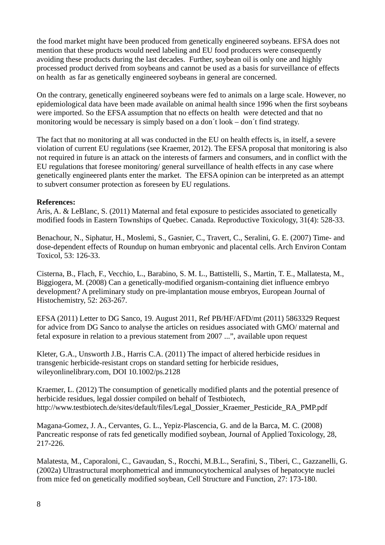the food market might have been produced from genetically engineered soybeans. EFSA does not mention that these products would need labeling and EU food producers were consequently avoiding these products during the last decades. Further, soybean oil is only one and highly processed product derived from soybeans and cannot be used as a basis for surveillance of effects on health as far as genetically engineered soybeans in general are concerned.

On the contrary, genetically engineered soybeans were fed to animals on a large scale. However, no epidemiological data have been made available on animal health since 1996 when the first soybeans were imported. So the EFSA assumption that no effects on health were detected and that no monitoring would be necessary is simply based on a don´t look – don´t find strategy.

The fact that no monitoring at all was conducted in the EU on health effects is, in itself, a severe violation of current EU regulations (see Kraemer, 2012). The EFSA proposal that monitoring is also not required in future is an attack on the interests of farmers and consumers, and in conflict with the EU regulations that foresee monitoring/ general surveillance of health effects in any case where genetically engineered plants enter the market. The EFSA opinion can be interpreted as an attempt to subvert consumer protection as foreseen by EU regulations.

#### **References:**

Aris, A. & LeBlanc, S. (2011) Maternal and fetal exposure to pesticides associated to genetically modified foods in Eastern Townships of Quebec. Canada. Reproductive Toxicology, 31(4): 528-33.

Benachour, N., Siphatur, H., Moslemi, S., Gasnier, C., Travert, C., Seralini, G. E. (2007) Time- and dose-dependent effects of Roundup on human embryonic and placental cells. Arch Environ Contam Toxicol, 53: 126-33.

Cisterna, B., Flach, F., Vecchio, L., Barabino, S. M. L., Battistelli, S., Martin, T. E., Mallatesta, M., Biggiogera, M. (2008) Can a genetically-modified organism-containing diet influence embryo development? A preliminary study on pre-implantation mouse embryos, European Journal of Histochemistry, 52: 263-267.

EFSA (2011) Letter to DG Sanco, 19. August 2011, Ref PB/HF/AFD/mt (2011) 5863329 Request for advice from DG Sanco to analyse the articles on residues associated with GMO/ maternal and fetal exposure in relation to a previous statement from 2007 ...", available upon request

Kleter, G.A., Unsworth J.B., Harris C.A. (2011) The impact of altered herbicide residues in transgenic herbicide-resistant crops on standard setting for herbicide residues, wileyonlinelibrary.com, DOI 10.1002/ps.2128

Kraemer, L. (2012) The consumption of genetically modified plants and the potential presence of herbicide residues, legal dossier compiled on behalf of Testbiotech, http://www.testbiotech.de/sites/default/files/Legal\_Dossier\_Kraemer\_Pesticide\_RA\_PMP.pdf

Magana-Gomez, J. A., Cervantes, G. L., Yepiz-Plascencia, G. and de la Barca, M. C. (2008) Pancreatic response of rats fed genetically modified soybean, Journal of Applied Toxicology, 28, 217-226.

Malatesta, M., Caporaloni, C., Gavaudan, S., Rocchi, M.B.L., Serafini, S., Tiberi, C., Gazzanelli, G. (2002a) Ultrastructural morphometrical and immunocytochemical analyses of hepatocyte nuclei from mice fed on genetically modified soybean, Cell Structure and Function, 27: 173-180.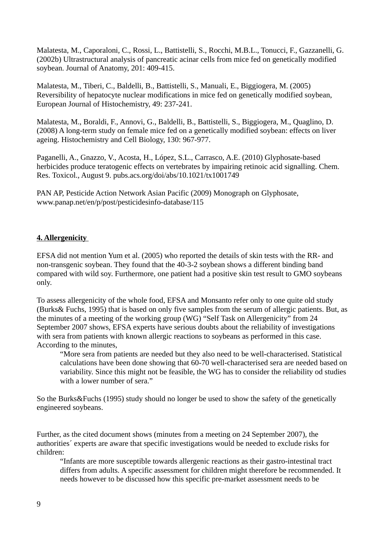Malatesta, M., Caporaloni, C., Rossi, L., Battistelli, S., Rocchi, M.B.L., Tonucci, F., Gazzanelli, G. (2002b) Ultrastructural analysis of pancreatic acinar cells from mice fed on genetically modified soybean. Journal of Anatomy, 201: 409-415.

Malatesta, M., Tiberi, C., Baldelli, B., Battistelli, S., Manuali, E., Biggiogera, M. (2005) Reversibility of hepatocyte nuclear modifications in mice fed on genetically modified soybean, European Journal of Histochemistry, 49: 237-241.

Malatesta, M., Boraldi, F., Annovi, G., Baldelli, B., Battistelli, S., Biggiogera, M., Quaglino, D. (2008) A long-term study on female mice fed on a genetically modified soybean: effects on liver ageing. Histochemistry and Cell Biology, 130: 967-977.

Paganelli, A., Gnazzo, V., Acosta, H., López, S.L., Carrasco, A.E. (2010) Glyphosate-based herbicides produce teratogenic effects on vertebrates by impairing retinoic acid signalling. Chem. Res. Toxicol., August 9. pubs.acs.org/doi/abs/10.1021/tx1001749

PAN AP, Pesticide Action Network Asian Pacific (2009) Monograph on Glyphosate, www.panap.net/en/p/post/pesticidesinfo-database/115

# **4. Allergenicity**

EFSA did not mention Yum et al. (2005) who reported the details of skin tests with the RR- and non-transgenic soybean. They found that the 40-3-2 soybean shows a different binding band compared with wild soy. Furthermore, one patient had a positive skin test result to GMO soybeans only.

To assess allergenicity of the whole food, EFSA and Monsanto refer only to one quite old study (Burks& Fuchs, 1995) that is based on only five samples from the serum of allergic patients. But, as the minutes of a meeting of the working group (WG) "Self Task on Allergenicity" from 24 September 2007 shows, EFSA experts have serious doubts about the reliability of investigations with sera from patients with known allergic reactions to soybeans as performed in this case. According to the minutes,

"More sera from patients are needed but they also need to be well-characterised. Statistical calculations have been done showing that 60-70 well-characterised sera are needed based on variability. Since this might not be feasible, the WG has to consider the reliability od studies with a lower number of sera."

So the Burks&Fuchs (1995) study should no longer be used to show the safety of the genetically engineered soybeans.

Further, as the cited document shows (minutes from a meeting on 24 September 2007), the authorities´ experts are aware that specific investigations would be needed to exclude risks for children:

"Infants are more susceptible towards allergenic reactions as their gastro-intestinal tract differs from adults. A specific assessment for children might therefore be recommended. It needs however to be discussed how this specific pre-market assessment needs to be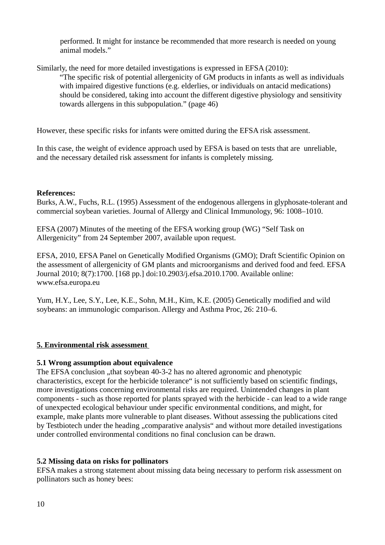performed. It might for instance be recommended that more research is needed on young animal models."

Similarly, the need for more detailed investigations is expressed in EFSA (2010):

"The specific risk of potential allergenicity of GM products in infants as well as individuals with impaired digestive functions (e.g. elderlies, or individuals on antacid medications) should be considered, taking into account the different digestive physiology and sensitivity towards allergens in this subpopulation." (page 46)

However, these specific risks for infants were omitted during the EFSA risk assessment.

In this case, the weight of evidence approach used by EFSA is based on tests that are unreliable, and the necessary detailed risk assessment for infants is completely missing.

# **References:**

Burks, A.W., Fuchs, R.L. (1995) Assessment of the endogenous allergens in glyphosate-tolerant and commercial soybean varieties. Journal of Allergy and Clinical Immunology, 96: 1008–1010.

EFSA (2007) Minutes of the meeting of the EFSA working group (WG) "Self Task on Allergenicity" from 24 September 2007, available upon request.

EFSA, 2010, EFSA Panel on Genetically Modified Organisms (GMO); Draft Scientific Opinion on the assessment of allergenicity of GM plants and microorganisms and derived food and feed. EFSA Journal 2010; 8(7):1700. [168 pp.] doi:10.2903/j.efsa.2010.1700. Available online: www.efsa.europa.eu

Yum, H.Y., Lee, S.Y., Lee, K.E., Sohn, M.H., Kim, K.E. (2005) Genetically modified and wild soybeans: an immunologic comparison. Allergy and Asthma Proc, 26: 210–6.

# **5. Environmental risk assessment**

# **5.1 Wrong assumption about equivalence**

The EFSA conclusion "that soybean 40-3-2 has no altered agronomic and phenotypic characteristics, except for the herbicide tolerance" is not sufficiently based on scientific findings, more investigations concerning environmental risks are required. Unintended changes in plant components - such as those reported for plants sprayed with the herbicide - can lead to a wide range of unexpected ecological behaviour under specific environmental conditions, and might, for example, make plants more vulnerable to plant diseases. Without assessing the publications cited by Testbiotech under the heading "comparative analysis" and without more detailed investigations under controlled environmental conditions no final conclusion can be drawn.

# **5.2 Missing data on risks for pollinators**

EFSA makes a strong statement about missing data being necessary to perform risk assessment on pollinators such as honey bees: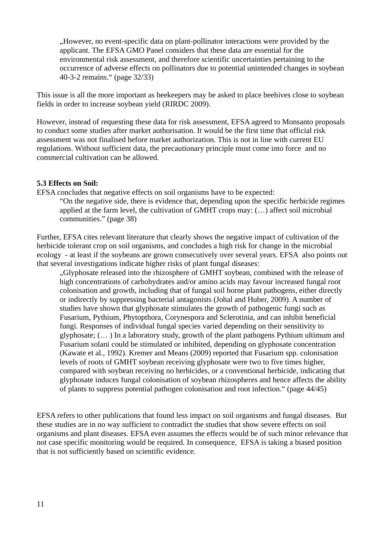"However, no event-specific data on plant-pollinator interactions were provided by the applicant. The EFSA GMO Panel considers that these data are essential for the environmental risk assessment, and therefore scientific uncertainties pertaining to the occurrence of adverse effects on pollinators due to potential unintended changes in soybean 40-3-2 remains." (page 32/33)

This issue is all the more important as beekeepers may be asked to place beehives close to soybean fields in order to increase soybean yield (RIRDC 2009).

However, instead of requesting these data for risk assessment, EFSA agreed to Monsanto proposals to conduct some studies after market authorisation. It would be the first time that official risk assessment was not finalised before market authorization. This is not in line with current EU regulations. Without sufficient data, the precautionary principle must come into force and no commercial cultivation can be allowed.

#### **5.3 Effects on Soil:**

EFSA concludes that negative effects on soil organisms have to be expected:

"On the negative side, there is evidence that, depending upon the specific herbicide regimes applied at the farm level, the cultivation of GMHT crops may: (…) affect soil microbial communities." (page 38)

Further, EFSA cites relevant literature that clearly shows the negative impact of cultivation of the herbicide tolerant crop on soil organisms, and concludes a high risk for change in the microbial ecology - at least if the soybeans are grown consecutively over several years. EFSA also points out that several investigations indicate higher risks of plant fungal diseases:

"Glyphosate released into the rhizosphere of GMHT soybean, combined with the release of high concentrations of carbohydrates and/or amino acids may favour increased fungal root colonisation and growth, including that of fungal soil borne plant pathogens, either directly or indirectly by suppressing bacterial antagonists (Johal and Huber, 2009). A number of studies have shown that glyphosate stimulates the growth of pathogenic fungi such as Fusarium, Pythium, Phytopthora, Corynespora and Sclerotinia, and can inhibit beneficial fungi. Responses of individual fungal species varied depending on their sensitivity to glyphosate; (… ) In a laboratory study, growth of the plant pathogens Pythium ultimum and Fusarium solani could be stimulated or inhibited, depending on glyphosate concentration (Kawate et al., 1992). Kremer and Means (2009) reported that Fusarium spp. colonisation levels of roots of GMHT soybean receiving glyphosate were two to five times higher, compared with soybean receiving no herbicides, or a conventional herbicide, indicating that glyphosate induces fungal colonisation of soybean rhizospheres and hence affects the ability of plants to suppress potential pathogen colonisation and root infection." (page 44/45)

EFSA refers to other publications that found less impact on soil organisms and fungal diseases. But these studies are in no way sufficient to contradict the studies that show severe effects on soil organisms and plant diseases. EFSA even assumes the effects would be of such minor relevance that not case specific monitoring would be required. In consequence, EFSA is taking a biased position that is not sufficiently based on scientific evidence.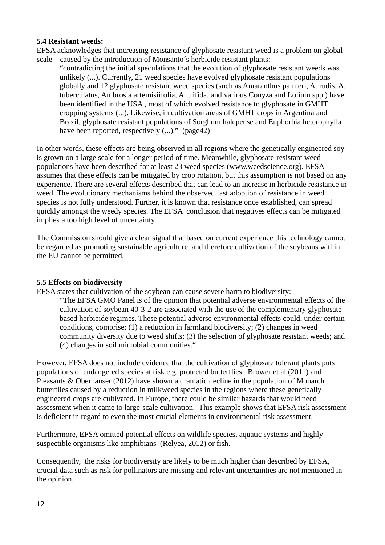#### **5.4 Resistant weeds:**

EFSA acknowledges that increasing resistance of glyphosate resistant weed is a problem on global scale – caused by the introduction of Monsanto´s herbicide resistant plants:

"contradicting the initial speculations that the evolution of glyphosate resistant weeds was unlikely (...). Currently, 21 weed species have evolved glyphosate resistant populations globally and 12 glyphosate resistant weed species (such as Amaranthus palmeri, A. rudis, A. tuberculatus, Ambrosia artemisiifolia, A. trifida, and various Conyza and Lolium spp.) have been identified in the USA , most of which evolved resistance to glyphosate in GMHT cropping systems (...). Likewise, in cultivation areas of GMHT crops in Argentina and Brazil, glyphosate resistant populations of Sorghum halepense and Euphorbia heterophylla have been reported, respectively (...)." (page42)

In other words, these effects are being observed in all regions where the genetically engineered soy is grown on a large scale for a longer period of time. Meanwhile, glyphosate-resistant weed populations have been described for at least 23 weed species (www.weedscience.org). EFSA assumes that these effects can be mitigated by crop rotation, but this assumption is not based on any experience. There are several effects described that can lead to an increase in herbicide resistance in weed. The evolutionary mechanisms behind the observed fast adoption of resistance in weed species is not fully understood. Further, it is known that resistance once established, can spread quickly amongst the weedy species. The EFSA conclusion that negatives effects can be mitigated implies a too high level of uncertainty.

The Commission should give a clear signal that based on current experience this technology cannot be regarded as promoting sustainable agriculture, and therefore cultivation of the soybeans within the EU cannot be permitted.

## **5.5 Effects on biodiversity**

EFSA states that cultivation of the soybean can cause severe harm to biodiversity:

"The EFSA GMO Panel is of the opinion that potential adverse environmental effects of the cultivation of soybean 40-3-2 are associated with the use of the complementary glyphosatebased herbicide regimes. These potential adverse environmental effects could, under certain conditions, comprise: (1) a reduction in farmland biodiversity; (2) changes in weed community diversity due to weed shifts; (3) the selection of glyphosate resistant weeds; and (4) changes in soil microbial communities."

However, EFSA does not include evidence that the cultivation of glyphosate tolerant plants puts populations of endangered species at risk e.g. protected butterflies. Brower et al (2011) and Pleasants & Oberhauser (2012) have shown a dramatic decline in the population of Monarch butterflies caused by a reduction in milkweed species in the regions where these genetically engineered crops are cultivated. In Europe, there could be similar hazards that would need assessment when it came to large-scale cultivation. This example shows that EFSA risk assessment is deficient in regard to even the most crucial elements in environmental risk assessment.

Furthermore, EFSA omitted potential effects on wildlife species, aquatic systems and highly suspectible organisms like amphibians (Relyea, 2012) or fish.

Consequently, the risks for biodiversity are likely to be much higher than described by EFSA, crucial data such as risk for pollinators are missing and relevant uncertainties are not mentioned in the opinion.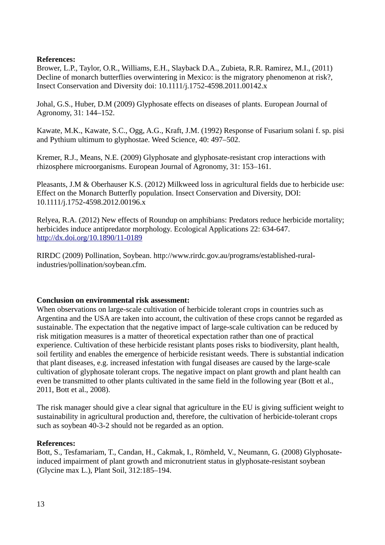## **References:**

Brower, L.P., Taylor, O.R., Williams, E.H., Slayback D.A., Zubieta, R.R. Ramirez, M.I., (2011) Decline of monarch butterflies overwintering in Mexico: is the migratory phenomenon at risk?, Insect Conservation and Diversity doi: 10.1111/j.1752-4598.2011.00142.x

Johal, G.S., Huber, D.M (2009) Glyphosate effects on diseases of plants. European Journal of Agronomy, 31: 144–152.

Kawate, M.K., Kawate, S.C., Ogg, A.G., Kraft, J.M. (1992) Response of Fusarium solani f. sp. pisi and Pythium ultimum to glyphostae. Weed Science, 40: 497–502.

Kremer, R.J., Means, N.E. (2009) Glyphosate and glyphosate-resistant crop interactions with rhizosphere microorganisms. European Journal of Agronomy, 31: 153–161.

Pleasants, J.M & Oberhauser K.S. (2012) Milkweed loss in agricultural fields due to herbicide use: Effect on the Monarch Butterfly population. Insect Conservation and Diversity, DOI: 10.1111/j.1752-4598.2012.00196.x

Relyea, R.A. (2012) New effects of Roundup on amphibians: Predators reduce herbicide mortality; herbicides induce antipredator morphology. Ecological Applications 22: 634-647. <http://dx.doi.org/10.1890/11-0189>

RIRDC (2009) Pollination, Soybean. http://www.rirdc.gov.au/programs/established-ruralindustries/pollination/soybean.cfm.

## **Conclusion on environmental risk assessment:**

When observations on large-scale cultivation of herbicide tolerant crops in countries such as Argentina and the USA are taken into account, the cultivation of these crops cannot be regarded as sustainable. The expectation that the negative impact of large-scale cultivation can be reduced by risk mitigation measures is a matter of theoretical expectation rather than one of practical experience. Cultivation of these herbicide resistant plants poses risks to biodiversity, plant health, soil fertility and enables the emergence of herbicide resistant weeds. There is substantial indication that plant diseases, e.g. increased infestation with fungal diseases are caused by the large-scale cultivation of glyphosate tolerant crops. The negative impact on plant growth and plant health can even be transmitted to other plants cultivated in the same field in the following year (Bott et al., 2011, Bott et al., 2008).

The risk manager should give a clear signal that agriculture in the EU is giving sufficient weight to sustainability in agricultural production and, therefore, the cultivation of herbicide-tolerant crops such as soybean 40-3-2 should not be regarded as an option.

#### **References:**

Bott, S., Tesfamariam, T., Candan, H., Cakmak, I., Römheld, V., Neumann, G. (2008) Glyphosateinduced impairment of plant growth and micronutrient status in glyphosate-resistant soybean (Glycine max L.), Plant Soil, 312:185–194.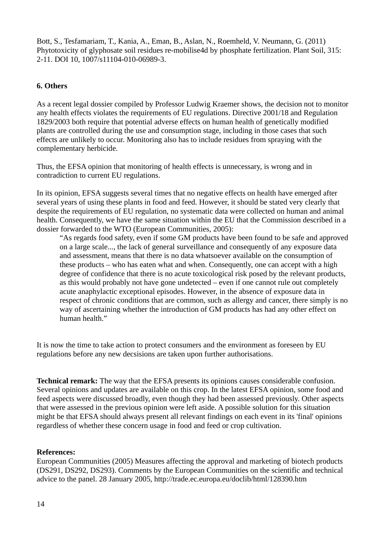Bott, S., Tesfamariam, T., Kania, A., Eman, B., Aslan, N., Roemheld, V. Neumann, G. (2011) Phytotoxicity of glyphosate soil residues re-mobilise4d by phosphate fertilization. Plant Soil, 315: 2-11. DOI 10, 1007/s11104-010-06989-3.

# **6. Others**

As a recent legal dossier compiled by Professor Ludwig Kraemer shows, the decision not to monitor any health effects violates the requirements of EU regulations. Directive 2001/18 and Regulation 1829/2003 both require that potential adverse effects on human health of genetically modified plants are controlled during the use and consumption stage, including in those cases that such effects are unlikely to occur. Monitoring also has to include residues from spraying with the complementary herbicide.

Thus, the EFSA opinion that monitoring of health effects is unnecessary, is wrong and in contradiction to current EU regulations.

In its opinion, EFSA suggests several times that no negative effects on health have emerged after several years of using these plants in food and feed. However, it should be stated very clearly that despite the requirements of EU regulation, no systematic data were collected on human and animal health. Consequently, we have the same situation within the EU that the Commission described in a dossier forwarded to the WTO (European Communities, 2005):

"As regards food safety, even if some GM products have been found to be safe and approved on a large scale..., the lack of general surveillance and consequently of any exposure data and assessment, means that there is no data whatsoever available on the consumption of these products – who has eaten what and when. Consequently, one can accept with a high degree of confidence that there is no acute toxicological risk posed by the relevant products, as this would probably not have gone undetected – even if one cannot rule out completely acute anaphylactic exceptional episodes. However, in the absence of exposure data in respect of chronic conditions that are common, such as allergy and cancer, there simply is no way of ascertaining whether the introduction of GM products has had any other effect on human health."

It is now the time to take action to protect consumers and the environment as foreseen by EU regulations before any new decsisions are taken upon further authorisations.

**Technical remark:** The way that the EFSA presents its opinions causes considerable confusion. Several opinions and updates are available on this crop. In the latest EFSA opinion, some food and feed aspects were discussed broadly, even though they had been assessed previously. Other aspects that were assessed in the previous opinion were left aside. A possible solution for this situation might be that EFSA should always present all relevant findings on each event in its 'final' opinions regardless of whether these concern usage in food and feed or crop cultivation.

## **References:**

European Communities (2005) Measures affecting the approval and marketing of biotech products (DS291, DS292, DS293). Comments by the European Communities on the scientific and technical advice to the panel. 28 January 2005, http://trade.ec.europa.eu/doclib/html/128390.htm